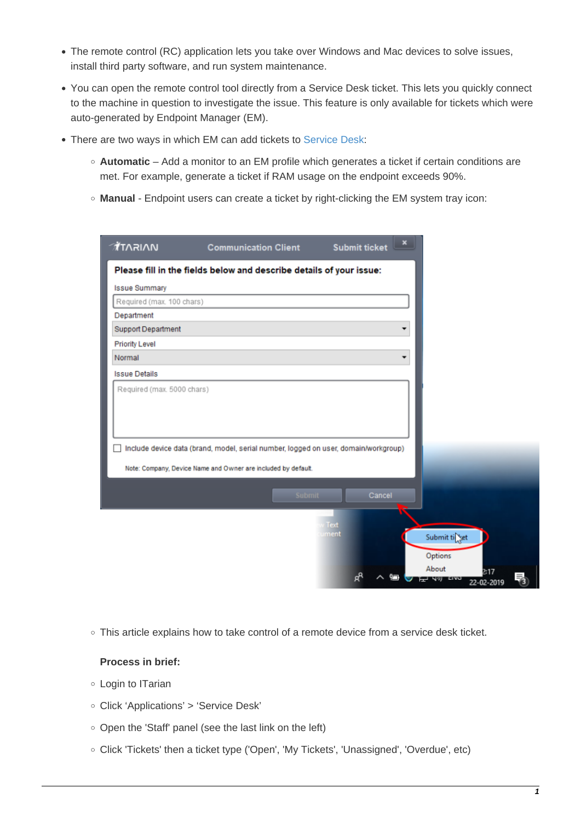- The remote control (RC) application lets you take over Windows and Mac devices to solve issues, install third party software, and run system maintenance.
- You can open the remote control tool directly from a Service Desk ticket. This lets you quickly connect to the machine in question to investigate the issue. This feature is only available for tickets which were auto-generated by Endpoint Manager (EM).
- There are two ways in which EM can add tickets to [Service Desk](https://www.itarian.com/service-desk.php):
	- **Automatic** Add a monitor to an EM profile which generates a ticket if certain conditions are met. For example, generate a ticket if RAM usage on the endpoint exceeds 90%.
	- **Manual** Endpoint users can create a ticket by right-clicking the EM system tray icon:

| <b>Issue Summary</b>      |                                                                                     |              |         |                           |  |
|---------------------------|-------------------------------------------------------------------------------------|--------------|---------|---------------------------|--|
| Required (max. 100 chars) |                                                                                     |              |         |                           |  |
| Department                |                                                                                     |              |         |                           |  |
| <b>Support Department</b> |                                                                                     |              |         |                           |  |
| <b>Priority Level</b>     |                                                                                     |              |         |                           |  |
| Normal                    |                                                                                     |              |         |                           |  |
| <b>Issue Details</b>      |                                                                                     |              |         |                           |  |
|                           | Include device data (brand, model, serial number, logged on user, domain/workgroup) |              |         |                           |  |
|                           | Note: Company, Device Name and Owner are included by default.                       |              |         |                           |  |
|                           |                                                                                     |              |         |                           |  |
|                           | Submit                                                                              | Cancel       |         |                           |  |
|                           |                                                                                     |              |         |                           |  |
|                           |                                                                                     | Text<br>ment | Options | Submit ti <sub>nget</sub> |  |

o This article explains how to take control of a remote device from a service desk ticket.

## **Process in brief:**

- Login to ITarian
- Click 'Applications' > 'Service Desk'
- $\circ$  Open the 'Staff' panel (see the last link on the left)
- Click 'Tickets' then a ticket type ('Open', 'My Tickets', 'Unassigned', 'Overdue', etc)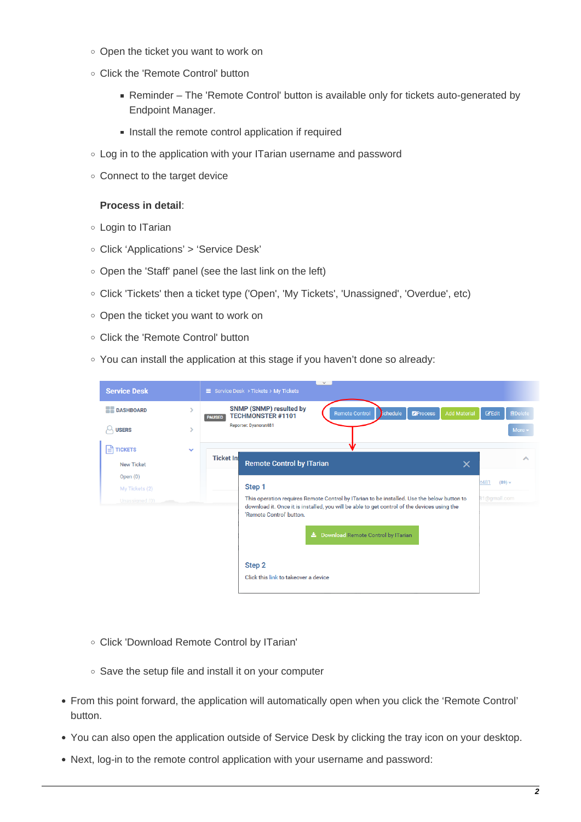- Open the ticket you want to work on
- Click the 'Remote Control' button
	- Reminder The 'Remote Control' button is available only for tickets auto-generated by Endpoint Manager.
	- Install the remote control application if required
- Log in to the application with your ITarian username and password
- Connect to the target device

## **Process in detail**:

- Login to ITarian
- Click 'Applications' > 'Service Desk'
- Open the 'Staff' panel (see the last link on the left)
- Click 'Tickets' then a ticket type ('Open', 'My Tickets', 'Unassigned', 'Overdue', etc)
- o Open the ticket you want to work on
- Click the 'Remote Control' button
- You can install the application at this stage if you haven't done so already:

| <b>Service Desk</b>                   | $\vee$<br>≡ Service Desk > Tickets > My Tickets                                                                                                                                                                       |                                 |
|---------------------------------------|-----------------------------------------------------------------------------------------------------------------------------------------------------------------------------------------------------------------------|---------------------------------|
| <b>BE DASHBOARD</b><br>S              | <b>SNMP (SNMP) resulted by</b><br>schedule<br><b>Add Material</b><br><b>Remote Control</b><br><b>Process</b><br><b>TECHMONSTER #1101</b><br><b>PAUSED</b>                                                             | <b>Z'Edit</b><br><b>面Delete</b> |
| <b>USERS</b><br>S                     | Reporter: Dyanorat481                                                                                                                                                                                                 | More -                          |
| l≝l<br><b>TICKETS</b><br>$\checkmark$ |                                                                                                                                                                                                                       |                                 |
| <b>New Ticket</b>                     | <b>Ticket Inf</b><br><b>Remote Control by ITarian</b><br>$\times$                                                                                                                                                     | ㅅ                               |
| Open $(0)$                            | Step 1                                                                                                                                                                                                                | t481<br>$(89) -$                |
| My Tickets (2)<br>Unassigned (0)      | This operation requires Remote Control by ITarian to be installed. Use the below button to<br>download it. Once it is installed, you will be able to get control of the devices using the<br>'Remote Control' button. | 31@gmail.com                    |
|                                       | Lackbook Download Remote Control by ITarian                                                                                                                                                                           |                                 |
|                                       | Step 2<br>Click this link to takeover a device                                                                                                                                                                        |                                 |

- Click 'Download Remote Control by ITarian'
- Save the setup file and install it on your computer
- From this point forward, the application will automatically open when you click the 'Remote Control' button.
- You can also open the application outside of Service Desk by clicking the tray icon on your desktop.
- Next, log-in to the remote control application with your username and password: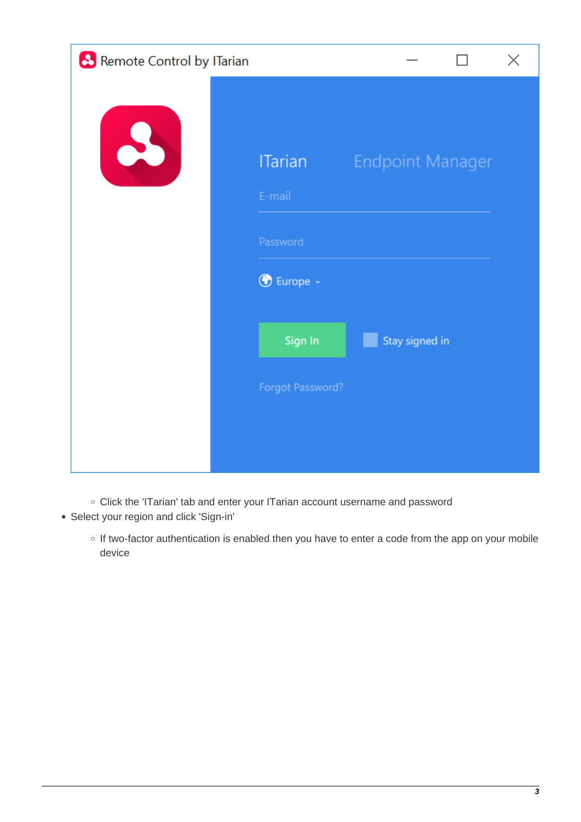| <b>8</b> Remote Control by ITarian |                          |                         | × |
|------------------------------------|--------------------------|-------------------------|---|
| $\bullet$                          | <b>ITarian</b><br>E-mail | <b>Endpoint Manager</b> |   |
|                                    | Password                 |                         |   |
|                                    | <b>B</b> Europe -        |                         |   |
|                                    | Sign In                  | Stay signed in          |   |
|                                    | Forgot Password?         |                         |   |
|                                    |                          |                         |   |

Click the 'ITarian' tab and enter your ITarian account username and password

Select your region and click 'Sign-in'

o If two-factor authentication is enabled then you have to enter a code from the app on your mobile device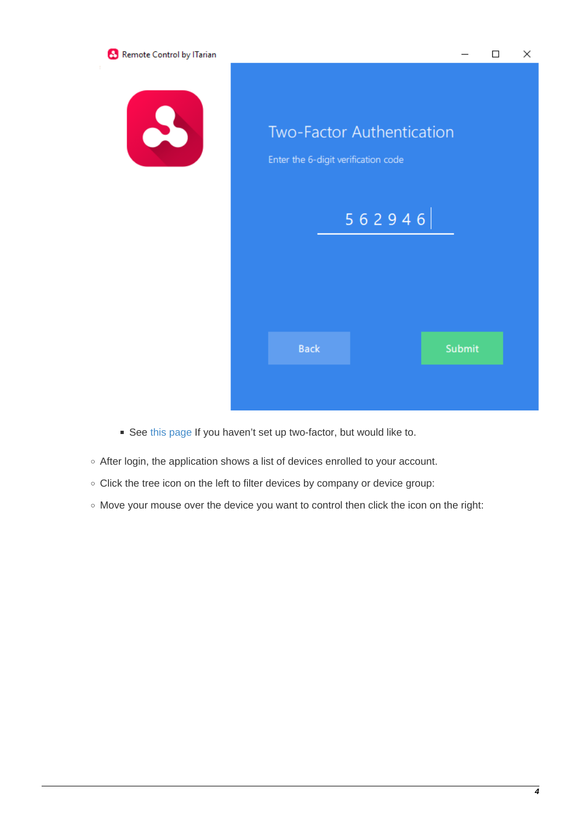

- See [this page](https://community.itarian.com/help/topic-452-1-946-13095-Set-up-Two-Factor-Login-Authentication.html?af=7640) If you haven't set up two-factor, but would like to.
- After login, the application shows a list of devices enrolled to your account.
- o Click the tree icon on the left to filter devices by company or device group:
- Move your mouse over the device you want to control then click the icon on the right: